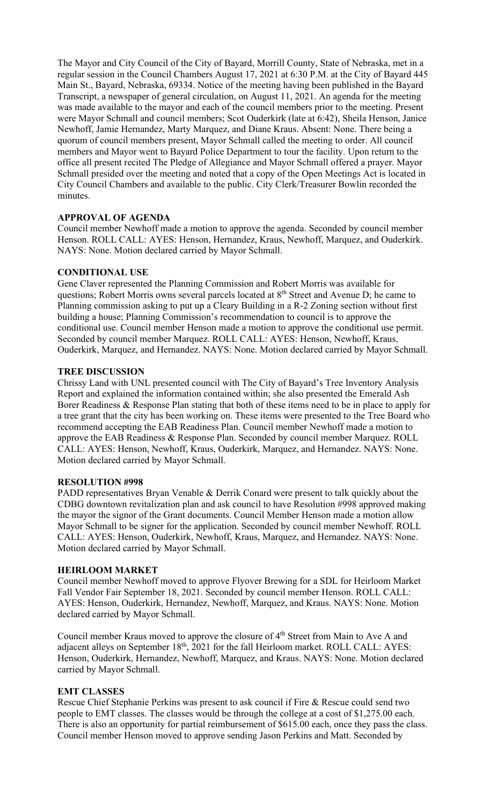The Mayor and City Council of the City of Bayard, Morrill County, State of Nebraska, met in a regular session in the Council Chambers August 17, 2021 at 6:30 P.M. at the City of Bayard 445 Main St., Bayard, Nebraska, 69334. Notice of the meeting having been published in the Bayard Transcript, a newspaper of general circulation, on August 11, 2021. An agenda for the meeting was made available to the mayor and each of the council members prior to the meeting. Present were Mayor Schmall and council members; Scot Ouderkirk (late at 6:42), Sheila Henson, Janice Newhoff, Jamie Hernandez, Marty Marquez, and Diane Kraus. Absent: None. There being a quorum of council members present, Mayor Schmall called the meeting to order. All council members and Mayor went to Bayard Police Department to tour the facility. Upon return to the office all present recited The Pledge of Allegiance and Mayor Schmall offered a prayer. Mayor Schmall presided over the meeting and noted that a copy of the Open Meetings Act is located in City Council Chambers and available to the public. City Clerk/Treasurer Bowlin recorded the minutes.

## **APPROVAL OF AGENDA**

Council member Newhoff made a motion to approve the agenda. Seconded by council member Henson. ROLL CALL: AYES: Henson, Hernandez, Kraus, Newhoff, Marquez, and Ouderkirk. NAYS: None. Motion declared carried by Mayor Schmall.

## **CONDITIONAL USE**

Gene Claver represented the Planning Commission and Robert Morris was available for questions; Robert Morris owns several parcels located at 8<sup>th</sup> Street and Avenue D; he came to Planning commission asking to put up a Cleary Building in a R-2 Zoning section without first building a house; Planning Commission's recommendation to council is to approve the conditional use. Council member Henson made a motion to approve the conditional use permit. Seconded by council member Marquez. ROLL CALL: AYES: Henson, Newhoff, Kraus, Ouderkirk, Marquez, and Hernandez. NAYS: None. Motion declared carried by Mayor Schmall.

## **TREE DISCUSSION**

Chrissy Land with UNL presented council with The City of Bayard's Tree Inventory Analysis Report and explained the information contained within; she also presented the Emerald Ash Borer Readiness & Response Plan stating that both of these items need to be in place to apply for a tree grant that the city has been working on. These items were presented to the Tree Board who recommend accepting the EAB Readiness Plan. Council member Newhoff made a motion to approve the EAB Readiness & Response Plan. Seconded by council member Marquez. ROLL CALL: AYES: Henson, Newhoff, Kraus, Ouderkirk, Marquez, and Hernandez. NAYS: None. Motion declared carried by Mayor Schmall.

#### **RESOLUTION #998**

PADD representatives Bryan Venable & Derrik Conard were present to talk quickly about the CDBG downtown revitalization plan and ask council to have Resolution #998 approved making the mayor the signor of the Grant documents. Council Member Henson made a motion allow Mayor Schmall to be signer for the application. Seconded by council member Newhoff. ROLL CALL: AYES: Henson, Ouderkirk, Newhoff, Kraus, Marquez, and Hernandez. NAYS: None. Motion declared carried by Mayor Schmall.

#### **HEIRLOOM MARKET**

Council member Newhoff moved to approve Flyover Brewing for a SDL for Heirloom Market Fall Vendor Fair September 18, 2021. Seconded by council member Henson. ROLL CALL: AYES: Henson, Ouderkirk, Hernandez, Newhoff, Marquez, and Kraus. NAYS: None. Motion declared carried by Mayor Schmall.

Council member Kraus moved to approve the closure of 4<sup>th</sup> Street from Main to Ave A and adjacent alleys on September 18<sup>th</sup>, 2021 for the fall Heirloom market. ROLL CALL: AYES: Henson, Ouderkirk, Hernandez, Newhoff, Marquez, and Kraus. NAYS: None. Motion declared carried by Mayor Schmall.

#### **EMT CLASSES**

Rescue Chief Stephanie Perkins was present to ask council if Fire & Rescue could send two people to EMT classes. The classes would be through the college at a cost of \$1,275.00 each. There is also an opportunity for partial reimbursement of \$615.00 each, once they pass the class. Council member Henson moved to approve sending Jason Perkins and Matt. Seconded by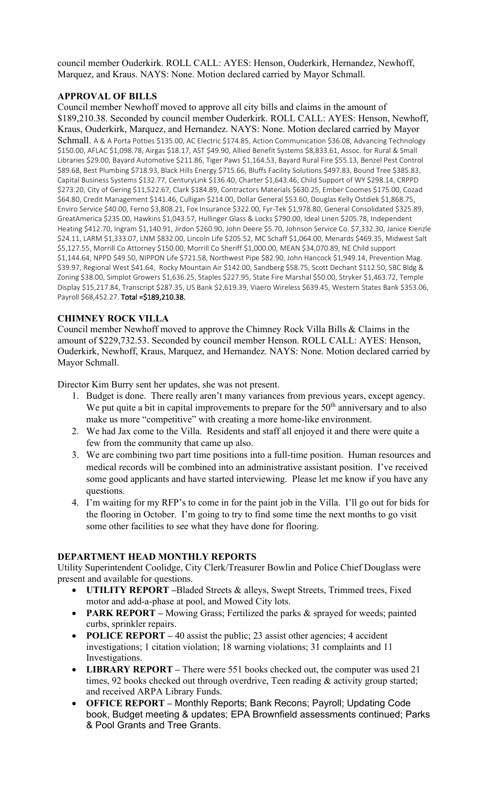council member Ouderkirk. ROLL CALL: AYES: Henson, Ouderkirk, Hernandez, Newhoff, Marquez, and Kraus. NAYS: None. Motion declared carried by Mayor Schmall.

# **APPROVAL OF BILLS**

Council member Newhoff moved to approve all city bills and claims in the amount of \$189,210.38. Seconded by council member Ouderkirk. ROLL CALL: AYES: Henson, Newhoff, Kraus, Ouderkirk, Marquez, and Hernandez. NAYS: None. Motion declared carried by Mayor Schmall. A & A Porta Potties \$135.00, AC Electric \$174.85, Action Communication \$36.08, Advancing Technology \$150.00, AFLAC \$1,098.78, Airgas \$18.17, AST \$49.90, Allied Benefit Systems \$8,833.61, Assoc. for Rural & Small Libraries \$29.00, Bayard Automotive \$211.86, Tiger Paws \$1,164.53, Bayard Rural Fire \$55.13, Benzel Pest Control \$89.68, Best Plumbing \$718.93, Black Hills Energy \$715.66, Bluffs Facility Solutions \$497.83, Bound Tree \$385.83, Capital Business Systems \$132.77, CenturyLink \$136.40, Charter \$1,643.46, Child Support of WY \$298.14, CRPPD \$273.20, City of Gering \$11,522.67, Clark \$184.89, Contractors Materials \$630.25, Ember Coomes \$175.00, Cozad \$64.80, Credit Management \$141.46, Culligan \$214.00, Dollar General \$53.60, Douglas Kelly Ostdiek \$1,868.75, Enviro Service \$40.00, Ferno \$3,808.21, Fox Insurance \$322.00, Fyr-Tek \$1,978.80, General Consolidated \$325.89, GreatAmerica \$235.00, Hawkins \$1,043.57, Hullinger Glass & Locks \$790.00, Ideal Linen \$205.78, Independent Heating \$412.70, Ingram \$1,140.91, Jirdon \$260.90, John Deere \$5.70, Johnson Service Co. \$7,332.30, Janice Kienzle \$24.11, LARM \$1,333.07, LNM \$832.00, Lincoln Life \$205.52, MC Schaff \$1,064.00, Menards \$469.35, Midwest Salt \$5,127.55, Morrill Co Attorney \$150.00, Morrill Co Sheriff \$1,000.00, MEAN \$34,070.89, NE Child support \$1,144.64, NPPD \$49.50, NIPPON Life \$721.58, Northwest Pipe \$82.90, John Hancock \$1,949.14, Prevention Mag. \$39.97, Regional West \$41.64, Rocky Mountain Air \$142.00, Sandberg \$58.75, Scott Dechant \$112.50, SBC Bldg & Zoning \$38.00, Simplot Growers \$1,636.25, Staples \$227.95, State Fire Marshal \$50.00, Stryker \$1,463.72, Temple Display \$15,217.84, Transcript \$287.35, US Bank \$2,619.39, Viaero Wireless \$639.45, Western States Bank \$353.06, Payroll \$68,452.27. Total = \$189,210.38.

#### **CHIMNEY ROCK VILLA**

Council member Newhoff moved to approve the Chimney Rock Villa Bills & Claims in the amount of \$229,732.53. Seconded by council member Henson. ROLL CALL: AYES: Henson, Ouderkirk, Newhoff, Kraus, Marquez, and Hernandez. NAYS: None. Motion declared carried by Mayor Schmall.

Director Kim Burry sent her updates, she was not present.

- 1. Budget is done. There really aren't many variances from previous years, except agency. We put quite a bit in capital improvements to prepare for the  $50<sup>th</sup>$  anniversary and to also make us more "competitive" with creating a more home-like environment.
- 2. We had Jax come to the Villa. Residents and staff all enjoyed it and there were quite a few from the community that came up also.
- 3. We are combining two part time positions into a full-time position. Human resources and medical records will be combined into an administrative assistant position. I've received some good applicants and have started interviewing. Please let me know if you have any questions.
- 4. I'm waiting for my RFP's to come in for the paint job in the Villa. I'll go out for bids for the flooring in October. I'm going to try to find some time the next months to go visit some other facilities to see what they have done for flooring.

#### **DEPARTMENT HEAD MONTHLY REPORTS**

Utility Superintendent Coolidge, City Clerk/Treasurer Bowlin and Police Chief Douglass were present and available for questions.

- **UTILITY REPORT –**Bladed Streets & alleys, Swept Streets, Trimmed trees, Fixed motor and add-a-phase at pool, and Mowed City lots.
- **PARK REPORT –** Mowing Grass; Fertilized the parks & sprayed for weeds; painted curbs, sprinkler repairs.
- **POLICE REPORT** 40 assist the public; 23 assist other agencies; 4 accident investigations; 1 citation violation; 18 warning violations; 31 complaints and 11 Investigations.
- **LIBRARY REPORT** There were 551 books checked out, the computer was used 21 times, 92 books checked out through overdrive, Teen reading & activity group started; and received ARPA Library Funds.
- **OFFICE REPORT –** Monthly Reports; Bank Recons; Payroll; Updating Code book, Budget meeting & updates; EPA Brownfield assessments continued; Parks & Pool Grants and Tree Grants.